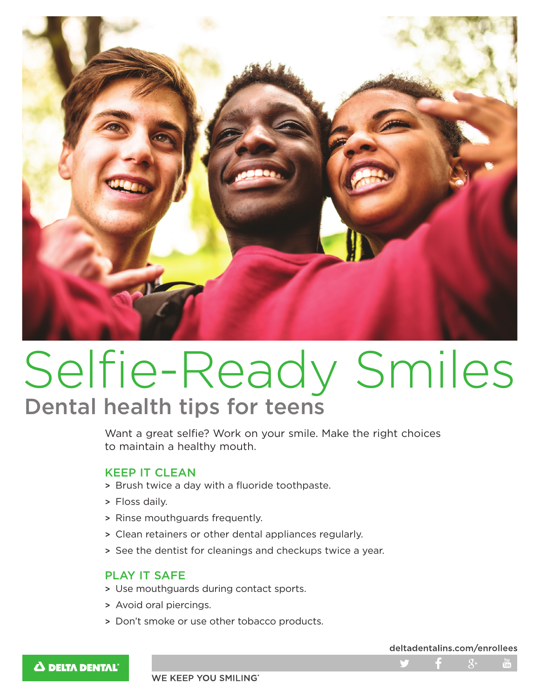

# Selfie-Ready Smiles Dental health tips for teens

Want a great selfie? Work on your smile. Make the right choices to maintain a healthy mouth.

### KEEP IT CLEAN

- > Brush twice a day with a fluoride toothpaste.
- > Floss daily.
- > Rinse mouthguards frequently.
- > Clean retainers or other dental appliances regularly.
- > See the dentist for cleanings and checkups twice a year.

### PLAY IT SAFE

- > Use mouthguards during contact sports.
- > Avoid oral piercings.
- > Don't smoke or use other tobacco products.

**A DELTA DENTAL** 

deltadentalins.com/enrollees

#### **WE KEEP YOU SMILING®**